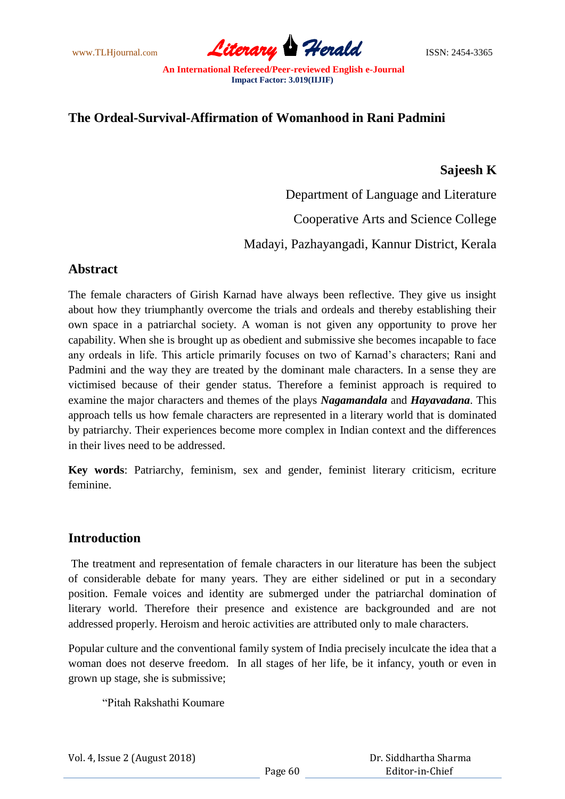www.TLHjournal.com *Literary Herald*ISSN: 2454-3365

# **The Ordeal-Survival-Affirmation of Womanhood in Rani Padmini**

#### **Sajeesh K**

Department of Language and Literature Cooperative Arts and Science College Madayi, Pazhayangadi, Kannur District, Kerala

### **Abstract**

The female characters of Girish Karnad have always been reflective. They give us insight about how they triumphantly overcome the trials and ordeals and thereby establishing their own space in a patriarchal society. A woman is not given any opportunity to prove her capability. When she is brought up as obedient and submissive she becomes incapable to face any ordeals in life. This article primarily focuses on two of Karnad's characters; Rani and Padmini and the way they are treated by the dominant male characters. In a sense they are victimised because of their gender status. Therefore a feminist approach is required to examine the major characters and themes of the plays *Nagamandala* and *Hayavadana*. This approach tells us how female characters are represented in a literary world that is dominated by patriarchy. Their experiences become more complex in Indian context and the differences in their lives need to be addressed.

**Key words**: Patriarchy, feminism, sex and gender, feminist literary criticism, ecriture feminine.

### **Introduction**

The treatment and representation of female characters in our literature has been the subject of considerable debate for many years. They are either sidelined or put in a secondary position. Female voices and identity are submerged under the patriarchal domination of literary world. Therefore their presence and existence are backgrounded and are not addressed properly. Heroism and heroic activities are attributed only to male characters.

Popular culture and the conventional family system of India precisely inculcate the idea that a woman does not deserve freedom. In all stages of her life, be it infancy, youth or even in grown up stage, she is submissive;

"Pitah Rakshathi Koumare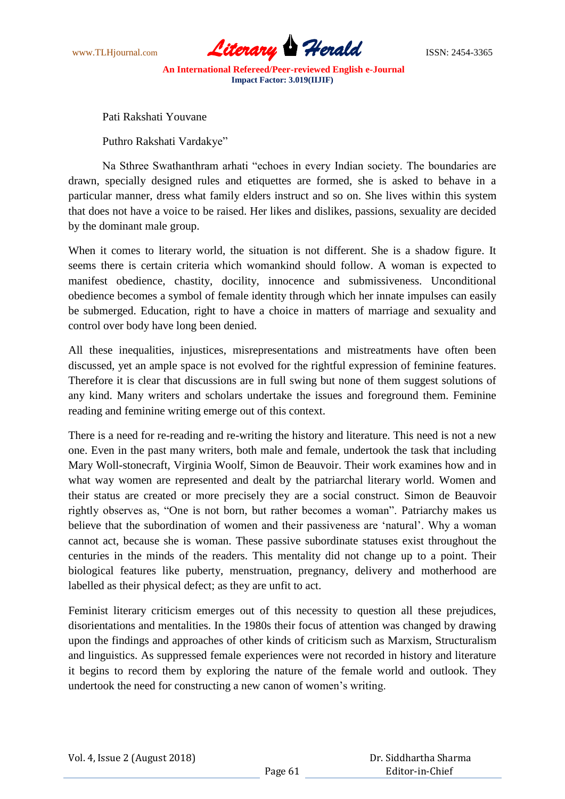

Pati Rakshati Youvane

Puthro Rakshati Vardakye"

Na Sthree Swathanthram arhati "echoes in every Indian society. The boundaries are drawn, specially designed rules and etiquettes are formed, she is asked to behave in a particular manner, dress what family elders instruct and so on. She lives within this system that does not have a voice to be raised. Her likes and dislikes, passions, sexuality are decided by the dominant male group.

When it comes to literary world, the situation is not different. She is a shadow figure. It seems there is certain criteria which womankind should follow. A woman is expected to manifest obedience, chastity, docility, innocence and submissiveness. Unconditional obedience becomes a symbol of female identity through which her innate impulses can easily be submerged. Education, right to have a choice in matters of marriage and sexuality and control over body have long been denied.

All these inequalities, injustices, misrepresentations and mistreatments have often been discussed, yet an ample space is not evolved for the rightful expression of feminine features. Therefore it is clear that discussions are in full swing but none of them suggest solutions of any kind. Many writers and scholars undertake the issues and foreground them. Feminine reading and feminine writing emerge out of this context.

There is a need for re-reading and re-writing the history and literature. This need is not a new one. Even in the past many writers, both male and female, undertook the task that including Mary Woll-stonecraft, Virginia Woolf, Simon de Beauvoir. Their work examines how and in what way women are represented and dealt by the patriarchal literary world. Women and their status are created or more precisely they are a social construct. Simon de Beauvoir rightly observes as, "One is not born, but rather becomes a woman". Patriarchy makes us believe that the subordination of women and their passiveness are 'natural'. Why a woman cannot act, because she is woman. These passive subordinate statuses exist throughout the centuries in the minds of the readers. This mentality did not change up to a point. Their biological features like puberty, menstruation, pregnancy, delivery and motherhood are labelled as their physical defect; as they are unfit to act.

Feminist literary criticism emerges out of this necessity to question all these prejudices, disorientations and mentalities. In the 1980s their focus of attention was changed by drawing upon the findings and approaches of other kinds of criticism such as Marxism, Structuralism and linguistics. As suppressed female experiences were not recorded in history and literature it begins to record them by exploring the nature of the female world and outlook. They undertook the need for constructing a new canon of women"s writing.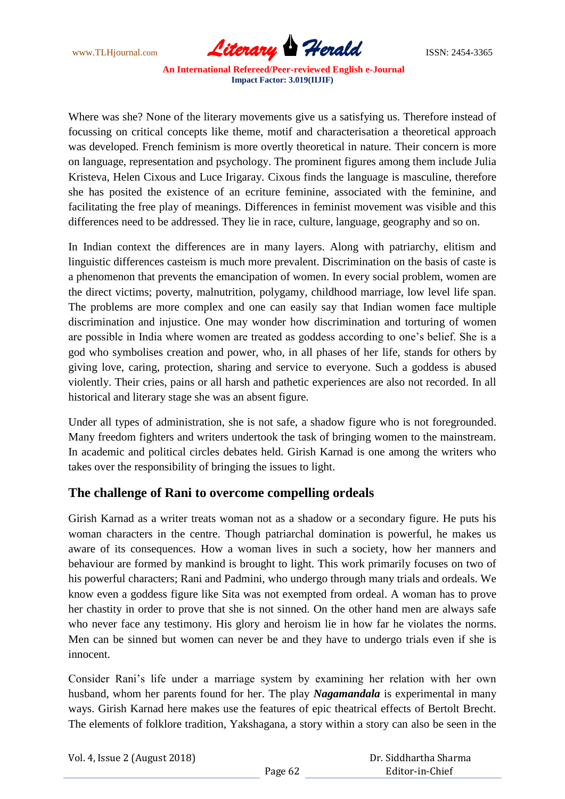www.TLHjournal.com *Literary Herald*ISSN: 2454-3365

Where was she? None of the literary movements give us a satisfying us. Therefore instead of focussing on critical concepts like theme, motif and characterisation a theoretical approach was developed. French feminism is more overtly theoretical in nature. Their concern is more on language, representation and psychology. The prominent figures among them include Julia Kristeva, Helen Cixous and Luce Irigaray. Cixous finds the language is masculine, therefore she has posited the existence of an ecriture feminine, associated with the feminine, and facilitating the free play of meanings. Differences in feminist movement was visible and this differences need to be addressed. They lie in race, culture, language, geography and so on.

In Indian context the differences are in many layers. Along with patriarchy, elitism and linguistic differences casteism is much more prevalent. Discrimination on the basis of caste is a phenomenon that prevents the emancipation of women. In every social problem, women are the direct victims; poverty, malnutrition, polygamy, childhood marriage, low level life span. The problems are more complex and one can easily say that Indian women face multiple discrimination and injustice. One may wonder how discrimination and torturing of women are possible in India where women are treated as goddess according to one"s belief. She is a god who symbolises creation and power, who, in all phases of her life, stands for others by giving love, caring, protection, sharing and service to everyone. Such a goddess is abused violently. Their cries, pains or all harsh and pathetic experiences are also not recorded. In all historical and literary stage she was an absent figure.

Under all types of administration, she is not safe, a shadow figure who is not foregrounded. Many freedom fighters and writers undertook the task of bringing women to the mainstream. In academic and political circles debates held. Girish Karnad is one among the writers who takes over the responsibility of bringing the issues to light.

### **The challenge of Rani to overcome compelling ordeals**

Girish Karnad as a writer treats woman not as a shadow or a secondary figure. He puts his woman characters in the centre. Though patriarchal domination is powerful, he makes us aware of its consequences. How a woman lives in such a society, how her manners and behaviour are formed by mankind is brought to light. This work primarily focuses on two of his powerful characters; Rani and Padmini, who undergo through many trials and ordeals. We know even a goddess figure like Sita was not exempted from ordeal. A woman has to prove her chastity in order to prove that she is not sinned. On the other hand men are always safe who never face any testimony. His glory and heroism lie in how far he violates the norms. Men can be sinned but women can never be and they have to undergo trials even if she is innocent.

Consider Rani"s life under a marriage system by examining her relation with her own husband, whom her parents found for her. The play *Nagamandala* is experimental in many ways. Girish Karnad here makes use the features of epic theatrical effects of Bertolt Brecht. The elements of folklore tradition, Yakshagana, a story within a story can also be seen in the

| Vol. 4, Issue 2 (August 2018) |         | Dr. Siddhartha Sharma |
|-------------------------------|---------|-----------------------|
|                               | Page 62 | Editor-in-Chief       |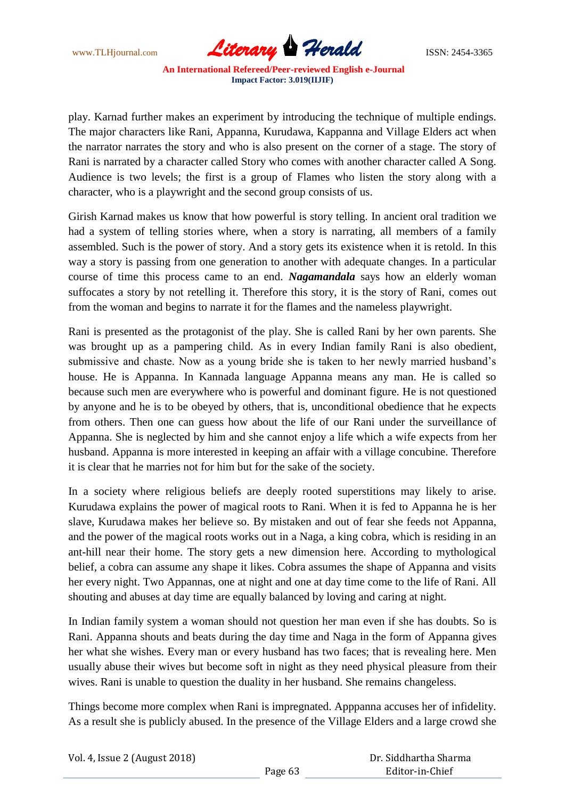www.TLHjournal.com *Literary Herald*ISSN: 2454-3365

play. Karnad further makes an experiment by introducing the technique of multiple endings. The major characters like Rani, Appanna, Kurudawa, Kappanna and Village Elders act when the narrator narrates the story and who is also present on the corner of a stage. The story of Rani is narrated by a character called Story who comes with another character called A Song. Audience is two levels; the first is a group of Flames who listen the story along with a character, who is a playwright and the second group consists of us.

Girish Karnad makes us know that how powerful is story telling. In ancient oral tradition we had a system of telling stories where, when a story is narrating, all members of a family assembled. Such is the power of story. And a story gets its existence when it is retold. In this way a story is passing from one generation to another with adequate changes. In a particular course of time this process came to an end. *Nagamandala* says how an elderly woman suffocates a story by not retelling it. Therefore this story, it is the story of Rani, comes out from the woman and begins to narrate it for the flames and the nameless playwright.

Rani is presented as the protagonist of the play. She is called Rani by her own parents. She was brought up as a pampering child. As in every Indian family Rani is also obedient, submissive and chaste. Now as a young bride she is taken to her newly married husband"s house. He is Appanna. In Kannada language Appanna means any man. He is called so because such men are everywhere who is powerful and dominant figure. He is not questioned by anyone and he is to be obeyed by others, that is, unconditional obedience that he expects from others. Then one can guess how about the life of our Rani under the surveillance of Appanna. She is neglected by him and she cannot enjoy a life which a wife expects from her husband. Appanna is more interested in keeping an affair with a village concubine. Therefore it is clear that he marries not for him but for the sake of the society.

In a society where religious beliefs are deeply rooted superstitions may likely to arise. Kurudawa explains the power of magical roots to Rani. When it is fed to Appanna he is her slave, Kurudawa makes her believe so. By mistaken and out of fear she feeds not Appanna, and the power of the magical roots works out in a Naga, a king cobra, which is residing in an ant-hill near their home. The story gets a new dimension here. According to mythological belief, a cobra can assume any shape it likes. Cobra assumes the shape of Appanna and visits her every night. Two Appannas, one at night and one at day time come to the life of Rani. All shouting and abuses at day time are equally balanced by loving and caring at night.

In Indian family system a woman should not question her man even if she has doubts. So is Rani. Appanna shouts and beats during the day time and Naga in the form of Appanna gives her what she wishes. Every man or every husband has two faces; that is revealing here. Men usually abuse their wives but become soft in night as they need physical pleasure from their wives. Rani is unable to question the duality in her husband. She remains changeless.

Things become more complex when Rani is impregnated. Apppanna accuses her of infidelity. As a result she is publicly abused. In the presence of the Village Elders and a large crowd she

| Vol. 4, Issue 2 (August 2018) |         | Dr. Siddhartha Sharma |  |
|-------------------------------|---------|-----------------------|--|
|                               | Page 63 | Editor-in-Chief       |  |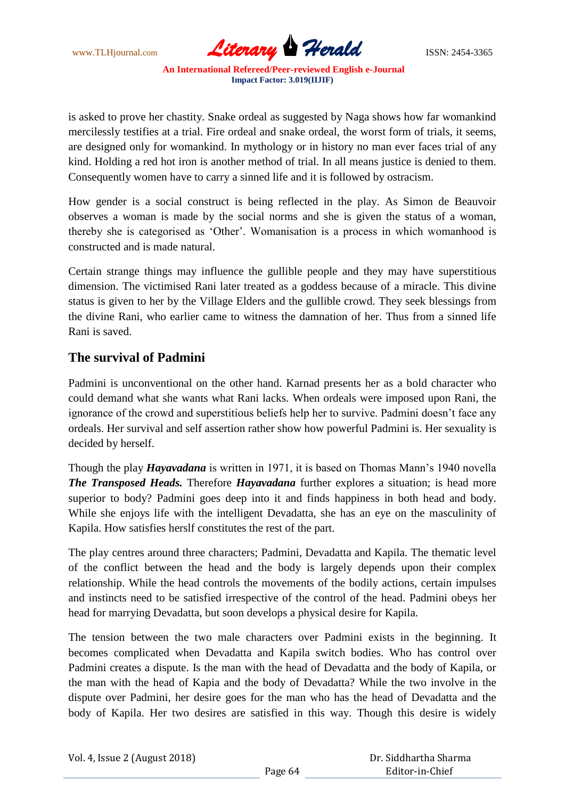www.TLHjournal.com *Literary Herald*ISSN: 2454-3365

is asked to prove her chastity. Snake ordeal as suggested by Naga shows how far womankind mercilessly testifies at a trial. Fire ordeal and snake ordeal, the worst form of trials, it seems, are designed only for womankind. In mythology or in history no man ever faces trial of any kind. Holding a red hot iron is another method of trial. In all means justice is denied to them. Consequently women have to carry a sinned life and it is followed by ostracism.

How gender is a social construct is being reflected in the play. As Simon de Beauvoir observes a woman is made by the social norms and she is given the status of a woman, thereby she is categorised as "Other". Womanisation is a process in which womanhood is constructed and is made natural.

Certain strange things may influence the gullible people and they may have superstitious dimension. The victimised Rani later treated as a goddess because of a miracle. This divine status is given to her by the Village Elders and the gullible crowd. They seek blessings from the divine Rani, who earlier came to witness the damnation of her. Thus from a sinned life Rani is saved.

## **The survival of Padmini**

Padmini is unconventional on the other hand. Karnad presents her as a bold character who could demand what she wants what Rani lacks. When ordeals were imposed upon Rani, the ignorance of the crowd and superstitious beliefs help her to survive. Padmini doesn"t face any ordeals. Her survival and self assertion rather show how powerful Padmini is. Her sexuality is decided by herself.

Though the play *Hayavadana* is written in 1971, it is based on Thomas Mann"s 1940 novella *The Transposed Heads.* Therefore *Hayavadana* further explores a situation; is head more superior to body? Padmini goes deep into it and finds happiness in both head and body. While she enjoys life with the intelligent Devadatta, she has an eye on the masculinity of Kapila. How satisfies herslf constitutes the rest of the part.

The play centres around three characters; Padmini, Devadatta and Kapila. The thematic level of the conflict between the head and the body is largely depends upon their complex relationship. While the head controls the movements of the bodily actions, certain impulses and instincts need to be satisfied irrespective of the control of the head. Padmini obeys her head for marrying Devadatta, but soon develops a physical desire for Kapila.

The tension between the two male characters over Padmini exists in the beginning. It becomes complicated when Devadatta and Kapila switch bodies. Who has control over Padmini creates a dispute. Is the man with the head of Devadatta and the body of Kapila, or the man with the head of Kapia and the body of Devadatta? While the two involve in the dispute over Padmini, her desire goes for the man who has the head of Devadatta and the body of Kapila. Her two desires are satisfied in this way. Though this desire is widely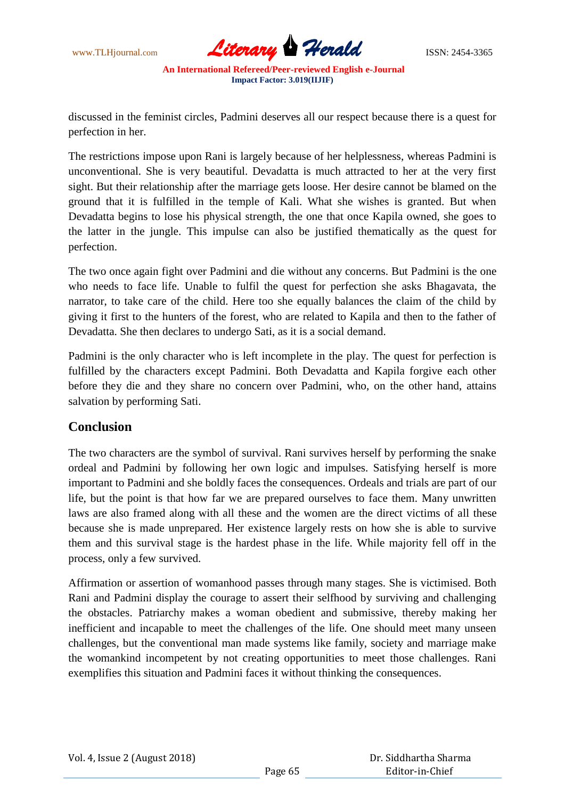

discussed in the feminist circles, Padmini deserves all our respect because there is a quest for perfection in her.

The restrictions impose upon Rani is largely because of her helplessness, whereas Padmini is unconventional. She is very beautiful. Devadatta is much attracted to her at the very first sight. But their relationship after the marriage gets loose. Her desire cannot be blamed on the ground that it is fulfilled in the temple of Kali. What she wishes is granted. But when Devadatta begins to lose his physical strength, the one that once Kapila owned, she goes to the latter in the jungle. This impulse can also be justified thematically as the quest for perfection.

The two once again fight over Padmini and die without any concerns. But Padmini is the one who needs to face life. Unable to fulfil the quest for perfection she asks Bhagavata, the narrator, to take care of the child. Here too she equally balances the claim of the child by giving it first to the hunters of the forest, who are related to Kapila and then to the father of Devadatta. She then declares to undergo Sati, as it is a social demand.

Padmini is the only character who is left incomplete in the play. The quest for perfection is fulfilled by the characters except Padmini. Both Devadatta and Kapila forgive each other before they die and they share no concern over Padmini, who, on the other hand, attains salvation by performing Sati.

### **Conclusion**

The two characters are the symbol of survival. Rani survives herself by performing the snake ordeal and Padmini by following her own logic and impulses. Satisfying herself is more important to Padmini and she boldly faces the consequences. Ordeals and trials are part of our life, but the point is that how far we are prepared ourselves to face them. Many unwritten laws are also framed along with all these and the women are the direct victims of all these because she is made unprepared. Her existence largely rests on how she is able to survive them and this survival stage is the hardest phase in the life. While majority fell off in the process, only a few survived.

Affirmation or assertion of womanhood passes through many stages. She is victimised. Both Rani and Padmini display the courage to assert their selfhood by surviving and challenging the obstacles. Patriarchy makes a woman obedient and submissive, thereby making her inefficient and incapable to meet the challenges of the life. One should meet many unseen challenges, but the conventional man made systems like family, society and marriage make the womankind incompetent by not creating opportunities to meet those challenges. Rani exemplifies this situation and Padmini faces it without thinking the consequences.